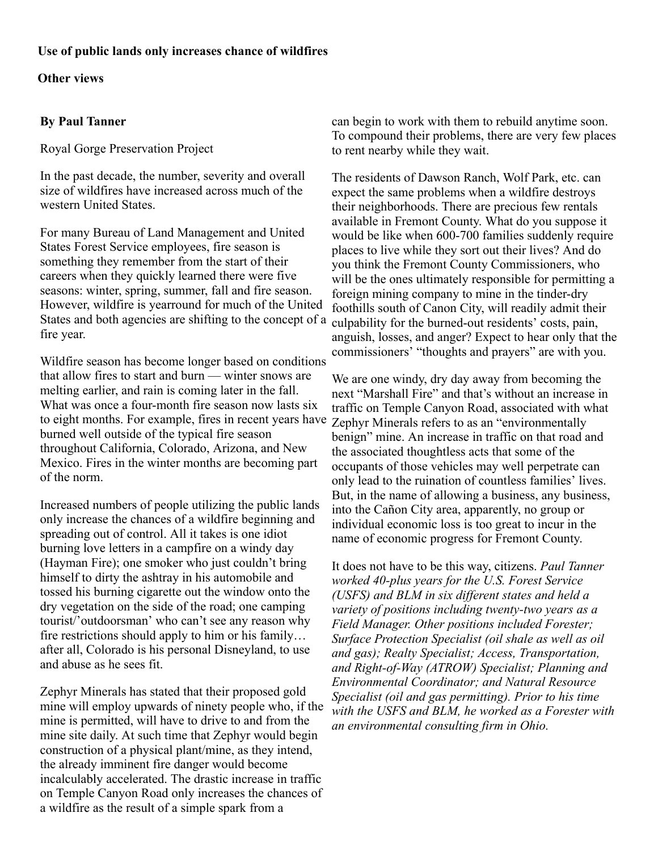## **Use of public lands only increases chance of wildfires**

## **Other views**

## **By Paul Tanner**

Royal Gorge Preservation Project

In the past decade, the number, severity and overall size of wildfires have increased across much of the western United States.

For many Bureau of Land Management and United States Forest Service employees, fire season is something they remember from the start of their careers when they quickly learned there were five seasons: winter, spring, summer, fall and fire season. However, wildfire is yearround for much of the United States and both agencies are shifting to the concept of a fire year.

Wildfire season has become longer based on conditions that allow fires to start and burn — winter snows are melting earlier, and rain is coming later in the fall. What was once a four-month fire season now lasts six to eight months. For example, fires in recent years have burned well outside of the typical fire season throughout California, Colorado, Arizona, and New Mexico. Fires in the winter months are becoming part of the norm.

Increased numbers of people utilizing the public lands only increase the chances of a wildfire beginning and spreading out of control. All it takes is one idiot burning love letters in a campfire on a windy day (Hayman Fire); one smoker who just couldn't bring himself to dirty the ashtray in his automobile and tossed his burning cigarette out the window onto the dry vegetation on the side of the road; one camping tourist/'outdoorsman' who can't see any reason why fire restrictions should apply to him or his family… after all, Colorado is his personal Disneyland, to use and abuse as he sees fit.

Zephyr Minerals has stated that their proposed gold mine will employ upwards of ninety people who, if the mine is permitted, will have to drive to and from the mine site daily. At such time that Zephyr would begin construction of a physical plant/mine, as they intend, the already imminent fire danger would become incalculably accelerated. The drastic increase in traffic on Temple Canyon Road only increases the chances of a wildfire as the result of a simple spark from a

can begin to work with them to rebuild anytime soon. To compound their problems, there are very few places to rent nearby while they wait.

The residents of Dawson Ranch, Wolf Park, etc. can expect the same problems when a wildfire destroys their neighborhoods. There are precious few rentals available in Fremont County. What do you suppose it would be like when 600-700 families suddenly require places to live while they sort out their lives? And do you think the Fremont County Commissioners, who will be the ones ultimately responsible for permitting a foreign mining company to mine in the tinder-dry foothills south of Canon City, will readily admit their culpability for the burned-out residents' costs, pain, anguish, losses, and anger? Expect to hear only that the commissioners' "thoughts and prayers" are with you.

We are one windy, dry day away from becoming the next "Marshall Fire" and that's without an increase in traffic on Temple Canyon Road, associated with what Zephyr Minerals refers to as an "environmentally benign" mine. An increase in traffic on that road and the associated thoughtless acts that some of the occupants of those vehicles may well perpetrate can only lead to the ruination of countless families' lives. But, in the name of allowing a business, any business, into the Cañon City area, apparently, no group or individual economic loss is too great to incur in the name of economic progress for Fremont County.

It does not have to be this way, citizens. *Paul Tanner worked 40-plus years for the U.S. Forest Service (USFS) and BLM in six different states and held a variety of positions including twenty-two years as a Field Manager. Other positions included Forester; Surface Protection Specialist (oil shale as well as oil and gas); Realty Specialist; Access, Transportation, and Right-of-Way (ATROW) Specialist; Planning and Environmental Coordinator; and Natural Resource Specialist (oil and gas permitting). Prior to his time with the USFS and BLM, he worked as a Forester with an environmental consulting firm in Ohio.*